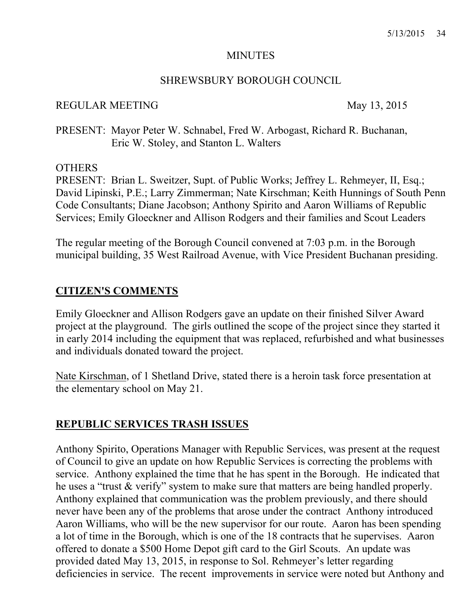#### **MINUTES**

#### SHREWSBURY BOROUGH COUNCIL

#### REGULAR MEETING May 13, 2015

PRESENT: Mayor Peter W. Schnabel, Fred W. Arbogast, Richard R. Buchanan, Eric W. Stoley, and Stanton L. Walters

#### **OTHERS**

PRESENT: Brian L. Sweitzer, Supt. of Public Works; Jeffrey L. Rehmeyer, II, Esq.; David Lipinski, P.E.; Larry Zimmerman; Nate Kirschman; Keith Hunnings of South Penn Code Consultants; Diane Jacobson; Anthony Spirito and Aaron Williams of Republic Services; Emily Gloeckner and Allison Rodgers and their families and Scout Leaders

The regular meeting of the Borough Council convened at 7:03 p.m. in the Borough municipal building, 35 West Railroad Avenue, with Vice President Buchanan presiding.

## **CITIZEN'S COMMENTS**

Emily Gloeckner and Allison Rodgers gave an update on their finished Silver Award project at the playground. The girls outlined the scope of the project since they started it in early 2014 including the equipment that was replaced, refurbished and what businesses and individuals donated toward the project.

Nate Kirschman, of 1 Shetland Drive, stated there is a heroin task force presentation at the elementary school on May 21.

## **REPUBLIC SERVICES TRASH ISSUES**

Anthony Spirito, Operations Manager with Republic Services, was present at the request of Council to give an update on how Republic Services is correcting the problems with service. Anthony explained the time that he has spent in the Borough. He indicated that he uses a "trust & verify" system to make sure that matters are being handled properly. Anthony explained that communication was the problem previously, and there should never have been any of the problems that arose under the contract Anthony introduced Aaron Williams, who will be the new supervisor for our route. Aaron has been spending a lot of time in the Borough, which is one of the 18 contracts that he supervises. Aaron offered to donate a \$500 Home Depot gift card to the Girl Scouts. An update was provided dated May 13, 2015, in response to Sol. Rehmeyer's letter regarding deficiencies in service. The recent improvements in service were noted but Anthony and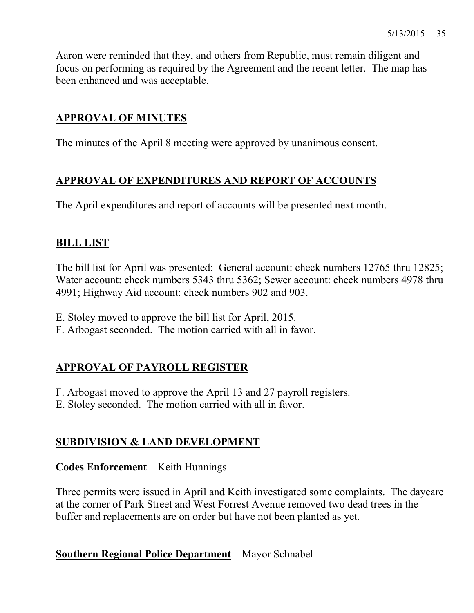Aaron were reminded that they, and others from Republic, must remain diligent and focus on performing as required by the Agreement and the recent letter. The map has been enhanced and was acceptable.

## **APPROVAL OF MINUTES**

The minutes of the April 8 meeting were approved by unanimous consent.

## **APPROVAL OF EXPENDITURES AND REPORT OF ACCOUNTS**

The April expenditures and report of accounts will be presented next month.

## **BILL LIST**

The bill list for April was presented: General account: check numbers 12765 thru 12825; Water account: check numbers 5343 thru 5362; Sewer account: check numbers 4978 thru 4991; Highway Aid account: check numbers 902 and 903.

- E. Stoley moved to approve the bill list for April, 2015.
- F. Arbogast seconded. The motion carried with all in favor.

## **APPROVAL OF PAYROLL REGISTER**

F. Arbogast moved to approve the April 13 and 27 payroll registers.

E. Stoley seconded. The motion carried with all in favor.

## **SUBDIVISION & LAND DEVELOPMENT**

## **Codes Enforcement** – Keith Hunnings

Three permits were issued in April and Keith investigated some complaints. The daycare at the corner of Park Street and West Forrest Avenue removed two dead trees in the buffer and replacements are on order but have not been planted as yet.

**Southern Regional Police Department** – Mayor Schnabel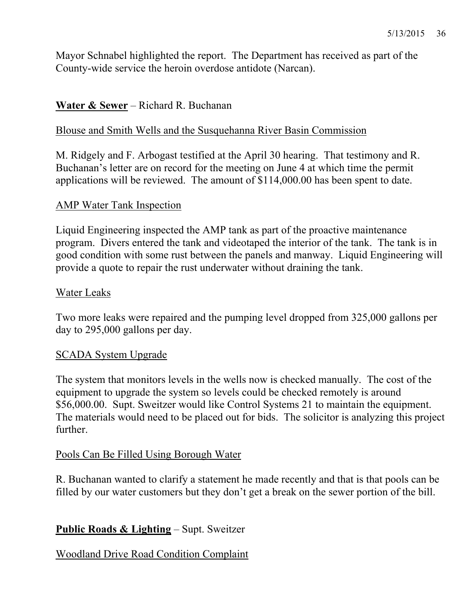Mayor Schnabel highlighted the report. The Department has received as part of the County-wide service the heroin overdose antidote (Narcan).

## **Water & Sewer** – Richard R. Buchanan

### Blouse and Smith Wells and the Susquehanna River Basin Commission

M. Ridgely and F. Arbogast testified at the April 30 hearing. That testimony and R. Buchanan's letter are on record for the meeting on June 4 at which time the permit applications will be reviewed. The amount of \$114,000.00 has been spent to date.

#### AMP Water Tank Inspection

Liquid Engineering inspected the AMP tank as part of the proactive maintenance program. Divers entered the tank and videotaped the interior of the tank. The tank is in good condition with some rust between the panels and manway. Liquid Engineering will provide a quote to repair the rust underwater without draining the tank.

## Water Leaks

Two more leaks were repaired and the pumping level dropped from 325,000 gallons per day to 295,000 gallons per day.

## SCADA System Upgrade

The system that monitors levels in the wells now is checked manually. The cost of the equipment to upgrade the system so levels could be checked remotely is around \$56,000.00. Supt. Sweitzer would like Control Systems 21 to maintain the equipment. The materials would need to be placed out for bids. The solicitor is analyzing this project further.

## Pools Can Be Filled Using Borough Water

R. Buchanan wanted to clarify a statement he made recently and that is that pools can be filled by our water customers but they don't get a break on the sewer portion of the bill.

## **Public Roads & Lighting** – Supt. Sweitzer

## Woodland Drive Road Condition Complaint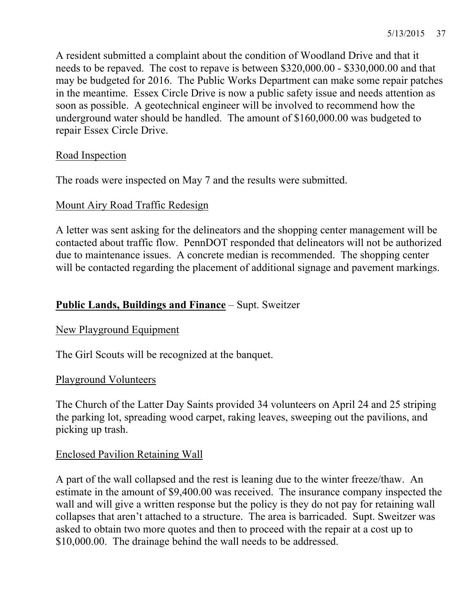A resident submitted a complaint about the condition of Woodland Drive and that it needs to be repaved. The cost to repave is between \$320,000.00 - \$330,000.00 and that may be budgeted for 2016. The Public Works Department can make some repair patches in the meantime. Essex Circle Drive is now a public safety issue and needs attention as soon as possible. A geotechnical engineer will be involved to recommend how the underground water should be handled. The amount of \$160,000.00 was budgeted to repair Essex Circle Drive.

## Road Inspection

The roads were inspected on May 7 and the results were submitted.

## Mount Airy Road Traffic Redesign

A letter was sent asking for the delineators and the shopping center management will be contacted about traffic flow. PennDOT responded that delineators will not be authorized due to maintenance issues. A concrete median is recommended. The shopping center will be contacted regarding the placement of additional signage and pavement markings.

## **Public Lands, Buildings and Finance** – Supt. Sweitzer

## New Playground Equipment

The Girl Scouts will be recognized at the banquet.

## Playground Volunteers

The Church of the Latter Day Saints provided 34 volunteers on April 24 and 25 striping the parking lot, spreading wood carpet, raking leaves, sweeping out the pavilions, and picking up trash.

## Enclosed Pavilion Retaining Wall

A part of the wall collapsed and the rest is leaning due to the winter freeze/thaw. An estimate in the amount of \$9,400.00 was received. The insurance company inspected the wall and will give a written response but the policy is they do not pay for retaining wall collapses that aren't attached to a structure. The area is barricaded. Supt. Sweitzer was asked to obtain two more quotes and then to proceed with the repair at a cost up to \$10,000.00. The drainage behind the wall needs to be addressed.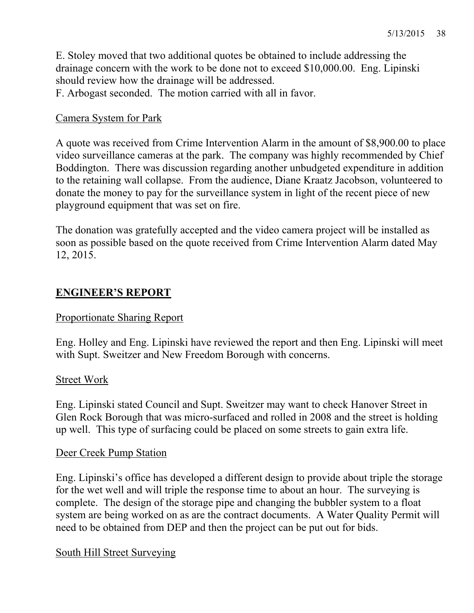E. Stoley moved that two additional quotes be obtained to include addressing the drainage concern with the work to be done not to exceed \$10,000.00. Eng. Lipinski should review how the drainage will be addressed.

F. Arbogast seconded. The motion carried with all in favor.

## Camera System for Park

A quote was received from Crime Intervention Alarm in the amount of \$8,900.00 to place video surveillance cameras at the park. The company was highly recommended by Chief Boddington. There was discussion regarding another unbudgeted expenditure in addition to the retaining wall collapse. From the audience, Diane Kraatz Jacobson, volunteered to donate the money to pay for the surveillance system in light of the recent piece of new playground equipment that was set on fire.

The donation was gratefully accepted and the video camera project will be installed as soon as possible based on the quote received from Crime Intervention Alarm dated May 12, 2015.

## **ENGINEER'S REPORT**

## Proportionate Sharing Report

Eng. Holley and Eng. Lipinski have reviewed the report and then Eng. Lipinski will meet with Supt. Sweitzer and New Freedom Borough with concerns.

## Street Work

Eng. Lipinski stated Council and Supt. Sweitzer may want to check Hanover Street in Glen Rock Borough that was micro-surfaced and rolled in 2008 and the street is holding up well. This type of surfacing could be placed on some streets to gain extra life.

## Deer Creek Pump Station

Eng. Lipinski's office has developed a different design to provide about triple the storage for the wet well and will triple the response time to about an hour. The surveying is complete. The design of the storage pipe and changing the bubbler system to a float system are being worked on as are the contract documents. A Water Quality Permit will need to be obtained from DEP and then the project can be put out for bids.

## South Hill Street Surveying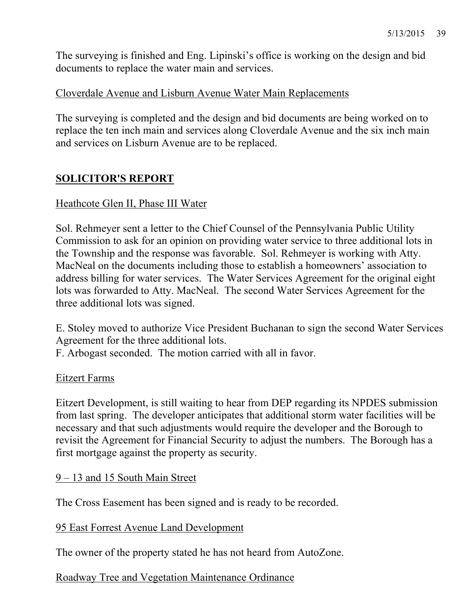The surveying is finished and Eng. Lipinski's office is working on the design and bid documents to replace the water main and services.

## Cloverdale Avenue and Lisburn Avenue Water Main Replacements

The surveying is completed and the design and bid documents are being worked on to replace the ten inch main and services along Cloverdale Avenue and the six inch main and services on Lisburn Avenue are to be replaced.

## **SOLICITOR'S REPORT**

## Heathcote Glen II, Phase III Water

Sol. Rehmeyer sent a letter to the Chief Counsel of the Pennsylvania Public Utility Commission to ask for an opinion on providing water service to three additional lots in the Township and the response was favorable. Sol. Rehmeyer is working with Atty. MacNeal on the documents including those to establish a homeowners' association to address billing for water services. The Water Services Agreement for the original eight lots was forwarded to Atty. MacNeal. The second Water Services Agreement for the three additional lots was signed.

E. Stoley moved to authorize Vice President Buchanan to sign the second Water Services Agreement for the three additional lots.

F. Arbogast seconded. The motion carried with all in favor.

#### Eitzert Farms

Eitzert Development, is still waiting to hear from DEP regarding its NPDES submission from last spring. The developer anticipates that additional storm water facilities will be necessary and that such adjustments would require the developer and the Borough to revisit the Agreement for Financial Security to adjust the numbers. The Borough has a first mortgage against the property as security.

#### 9 – 13 and 15 South Main Street

The Cross Easement has been signed and is ready to be recorded.

#### 95 East Forrest Avenue Land Development

The owner of the property stated he has not heard from AutoZone.

## Roadway Tree and Vegetation Maintenance Ordinance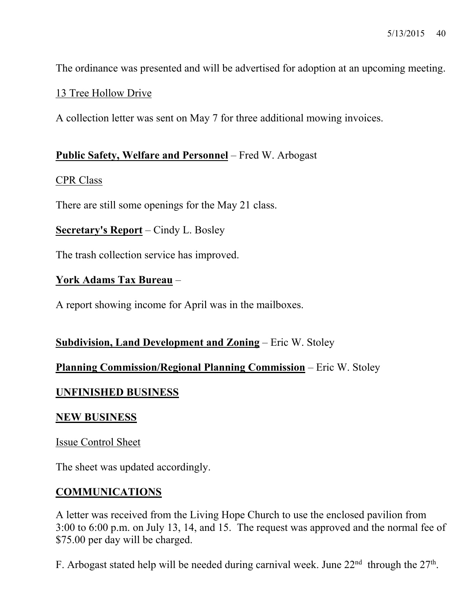The ordinance was presented and will be advertised for adoption at an upcoming meeting.

## 13 Tree Hollow Drive

A collection letter was sent on May 7 for three additional mowing invoices.

#### **Public Safety, Welfare and Personnel** – Fred W. Arbogast

#### CPR Class

There are still some openings for the May 21 class.

#### **Secretary's Report** – Cindy L. Bosley

The trash collection service has improved.

## **York Adams Tax Bureau** –

A report showing income for April was in the mailboxes.

#### **Subdivision, Land Development and Zoning** – Eric W. Stoley

## **Planning Commission/Regional Planning Commission** – Eric W. Stoley

## **UNFINISHED BUSINESS**

#### **NEW BUSINESS**

Issue Control Sheet

The sheet was updated accordingly.

## **COMMUNICATIONS**

A letter was received from the Living Hope Church to use the enclosed pavilion from 3:00 to 6:00 p.m. on July 13, 14, and 15. The request was approved and the normal fee of \$75.00 per day will be charged.

F. Arbogast stated help will be needed during carnival week. June  $22<sup>nd</sup>$  through the  $27<sup>th</sup>$ .